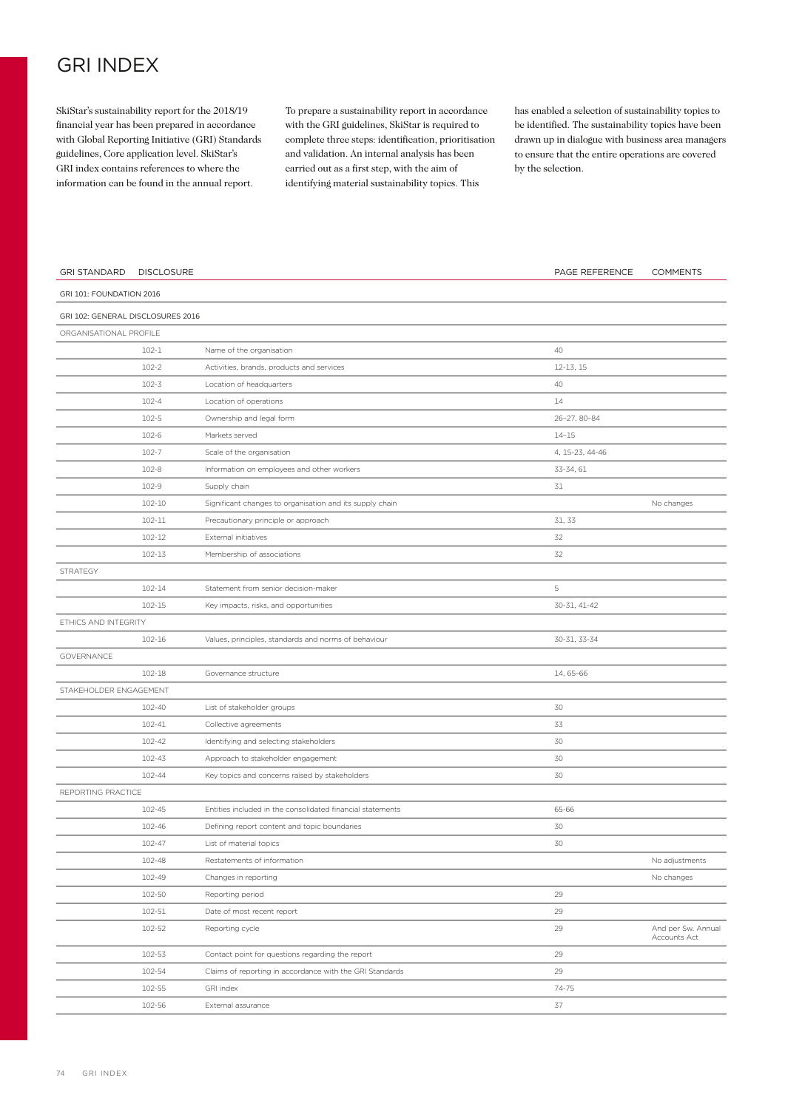## GRI INDEX

SkiStar's sustainability report for the 2018/19 financial year has been prepared in accordance with Global Reporting Initiative (GRI) Standards guidelines, Core application level. SkiStar's GRI index contains references to where the information can be found in the annual report.

To prepare a sustainability report in accordance with the GRI guidelines, SkiStar is required to complete three steps: identification, prioritisation and validation. An internal analysis has been carried out as a first step, with the aim of identifying material sustainability topics. This

has enabled a selection of sustainability topics to be identified. The sustainability topics have been drawn up in dialogue with business area managers to ensure that the entire operations are covered by the selection.

| <b>GRI STANDARD</b>               | <b>DISCLOSURE</b> |                                                            | PAGE REFERENCE  | <b>COMMENTS</b>                    |
|-----------------------------------|-------------------|------------------------------------------------------------|-----------------|------------------------------------|
| GRI 101: FOUNDATION 2016          |                   |                                                            |                 |                                    |
| GRI 102: GENERAL DISCLOSURES 2016 |                   |                                                            |                 |                                    |
| ORGANISATIONAL PROFILE            |                   |                                                            |                 |                                    |
|                                   | $102 - 1$         | Name of the organisation                                   | 40              |                                    |
|                                   | $102 - 2$         | Activities, brands, products and services                  | 12-13, 15       |                                    |
|                                   | $102 - 3$         | Location of headquarters                                   | 40              |                                    |
|                                   | $102 - 4$         | Location of operations                                     | 14              |                                    |
|                                   | $102 - 5$         | Ownership and legal form                                   | 26-27, 80-84    |                                    |
|                                   | 102-6             | Markets served                                             | $14 - 15$       |                                    |
|                                   | $102 - 7$         | Scale of the organisation                                  | 4, 15-23, 44-46 |                                    |
|                                   | 102-8             | Information on employees and other workers                 | 33-34, 61       |                                    |
|                                   | 102-9             | Supply chain                                               | 31              |                                    |
|                                   | 102-10            | Significant changes to organisation and its supply chain   |                 | No changes                         |
|                                   | 102-11            | Precautionary principle or approach                        | 31, 33          |                                    |
|                                   | 102-12            | External initiatives                                       | 32              |                                    |
|                                   | 102-13            | Membership of associations                                 | 32              |                                    |
| STRATEGY                          |                   |                                                            |                 |                                    |
|                                   | 102-14            | Statement from senior decision-maker                       | 5               |                                    |
|                                   | 102-15            | Key impacts, risks, and opportunities                      | 30-31, 41-42    |                                    |
| ETHICS AND INTEGRITY              |                   |                                                            |                 |                                    |
|                                   | 102-16            | Values, principles, standards and norms of behaviour       | 30-31, 33-34    |                                    |
| GOVERNANCE                        |                   |                                                            |                 |                                    |
|                                   | 102-18            | Governance structure                                       | 14, 65-66       |                                    |
| STAKEHOLDER ENGAGEMENT            |                   |                                                            |                 |                                    |
|                                   | 102-40            | List of stakeholder groups                                 | 30              |                                    |
|                                   | 102-41            | Collective agreements                                      | 33              |                                    |
|                                   | 102-42            | Identifying and selecting stakeholders                     | 30              |                                    |
|                                   | 102-43            | Approach to stakeholder engagement                         | 30              |                                    |
|                                   | 102-44            | Key topics and concerns raised by stakeholders             | 30              |                                    |
| REPORTING PRACTICE                |                   |                                                            |                 |                                    |
|                                   | 102-45            | Entities included in the consolidated financial statements | 65-66           |                                    |
|                                   | 102-46            | Defining report content and topic boundaries               | 30              |                                    |
|                                   | 102-47            | List of material topics                                    | 30              |                                    |
|                                   | 102-48            | Restatements of information                                |                 | No adjustments                     |
|                                   | 102-49            | Changes in reporting                                       |                 | No changes                         |
|                                   | 102-50            | Reporting period                                           | 29              |                                    |
|                                   | 102-51            | Date of most recent report                                 | 29              |                                    |
|                                   | 102-52            | Reporting cycle                                            | 29              | And per Sw. Annual<br>Accounts Act |
|                                   | 102-53            | Contact point for questions regarding the report           | 29              |                                    |
|                                   | 102-54            | Claims of reporting in accordance with the GRI Standards   | 29              |                                    |
|                                   | 102-55            | GRI index                                                  | 74-75           |                                    |
|                                   | 102-56            | External assurance                                         | 37              |                                    |